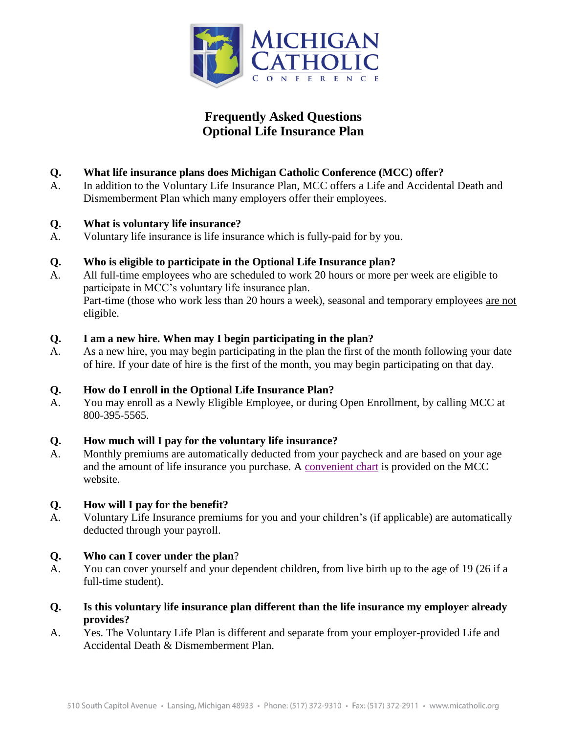

# **Frequently Asked Questions Optional Life Insurance Plan**

# **Q. What life insurance plans does Michigan Catholic Conference (MCC) offer?**

A. In addition to the Voluntary Life Insurance Plan, MCC offers a Life and Accidental Death and Dismemberment Plan which many employers offer their employees.

## **Q. What is voluntary life insurance?**

A. Voluntary life insurance is life insurance which is fully-paid for by you.

# **Q. Who is eligible to participate in the Optional Life Insurance plan?**

A. All full-time employees who are scheduled to work 20 hours or more per week are eligible to participate in MCC's voluntary life insurance plan. Part-time (those who work less than 20 hours a week), seasonal and temporary employees are not eligible.

# **Q. I am a new hire. When may I begin participating in the plan?**

A. As a new hire, you may begin participating in the plan the first of the month following your date of hire. If your date of hire is the first of the month, you may begin participating on that day.

## **Q. How do I enroll in the Optional Life Insurance Plan?**

A. You may enroll as a Newly Eligible Employee, or during Open Enrollment, by calling MCC at 800-395-5565.

## **Q. How much will I pay for the voluntary life insurance?**

A. Monthly premiums are automatically deducted from your paycheck and are based on your age and the amount of life insurance you purchase. A [convenient chart](http://www.micatholic.org/assets/files/benefits/benefit-programs/life-insurance/UNUM-Voluntary-Term-Life-Insurance-Rates.pdf) is provided on the MCC website.

## **Q. How will I pay for the benefit?**

A. Voluntary Life Insurance premiums for you and your children's (if applicable) are automatically deducted through your payroll.

## **Q. Who can I cover under the plan**?

- A. You can cover yourself and your dependent children, from live birth up to the age of 19 (26 if a full-time student).
- **Q. Is this voluntary life insurance plan different than the life insurance my employer already provides?**
- A. Yes. The Voluntary Life Plan is different and separate from your employer-provided Life and Accidental Death & Dismemberment Plan.